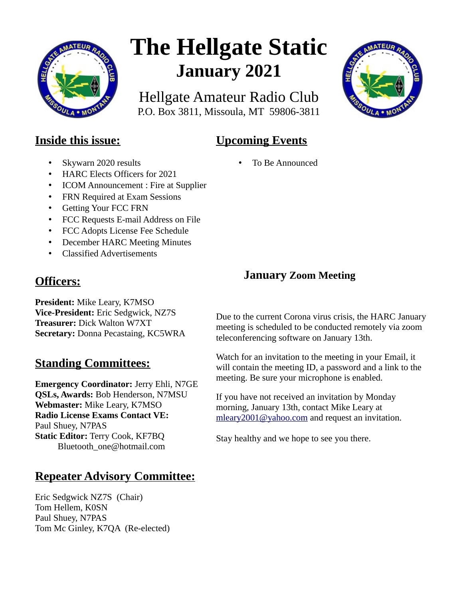

# **The Hellgate Static January 2021**

Hellgate Amateur Radio Club P.O. Box 3811, Missoula, MT 59806-3811



# **Inside this issue:**

- Skywarn 2020 results
- HARC Elects Officers for 2021
- ICOM Announcement : Fire at Supplier
- FRN Required at Exam Sessions
- Getting Your FCC FRN
- FCC Requests E-mail Address on File
- FCC Adopts License Fee Schedule
- December HARC Meeting Minutes
- Classified Advertisements

# **Officers:**

**President:** Mike Leary, K7MSO **Vice-President:** Eric Sedgwick, NZ7S **Treasurer:** Dick Walton W7XT **Secretary:** Donna Pecastaing, KC5WRA

# **Standing Committees:**

**Emergency Coordinator:** Jerry Ehli, N7GE **QSLs, Awards:** Bob Henderson, N7MSU **Webmaster:** Mike Leary, K7MSO **Radio License Exams Contact VE:** Paul Shuey, N7PAS **Static Editor:** Terry Cook, KF7BQ Bluetooth\_one@hotmail.com

# **Repeater Advisory Committee:**

Eric Sedgwick NZ7S (Chair) Tom Hellem, K0SN Paul Shuey, N7PAS Tom Mc Ginley, K7QA (Re-elected) • To Be Announced

**Upcoming Events**

## **January Zoom Meeting**

Due to the current Corona virus crisis, the HARC January meeting is scheduled to be conducted remotely via zoom teleconferencing software on January 13th.

Watch for an invitation to the meeting in your Email, it will contain the meeting ID, a password and a link to the meeting. Be sure your microphone is enabled.

If you have not received an invitation by Monday morning, January 13th, contact Mike Leary at [mleary2001@yahoo.com](mailto:mleary2001@yahoo.com) and request an invitation.

Stay healthy and we hope to see you there.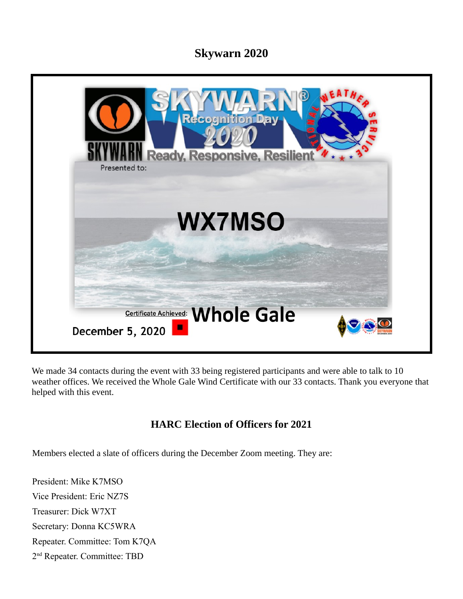## **Skywarn 2020**



We made 34 contacts during the event with 33 being registered participants and were able to talk to 10 weather offices. We received the Whole Gale Wind Certificate with our 33 contacts. Thank you everyone that helped with this event.

## **HARC Election of Officers for 2021**

Members elected a slate of officers during the December Zoom meeting. They are:

President: Mike K7MSO Vice President: Eric NZ7S Treasurer: Dick W7XT Secretary: Donna KC5WRA Repeater. Committee: Tom K7QA 2<sup>nd</sup> Repeater. Committee: TBD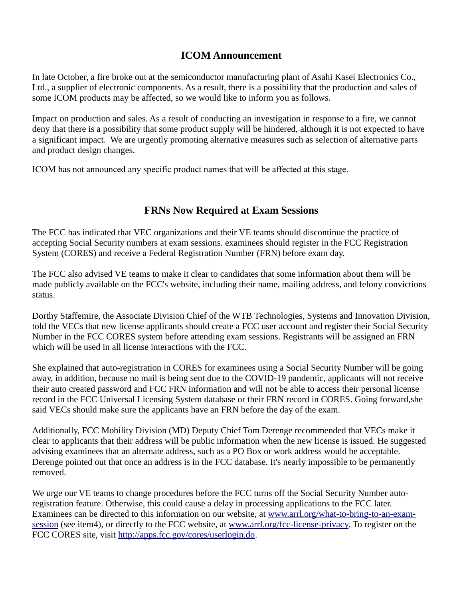### **ICOM Announcement**

In late October, a fire broke out at the semiconductor manufacturing plant of Asahi Kasei Electronics Co., Ltd., a supplier of electronic components. As a result, there is a possibility that the production and sales of some ICOM products may be affected, so we would like to inform you as follows.

Impact on production and sales. As a result of conducting an investigation in response to a fire, we cannot deny that there is a possibility that some product supply will be hindered, although it is not expected to have a significant impact. We are urgently promoting alternative measures such as selection of alternative parts and product design changes.

ICOM has not announced any specific product names that will be affected at this stage.

## **FRNs Now Required at Exam Sessions**

The FCC has indicated that VEC organizations and their VE teams should discontinue the practice of accepting Social Security numbers at exam sessions. examinees should register in the FCC Registration System (CORES) and receive a Federal Registration Number (FRN) before exam day.

The FCC also advised VE teams to make it clear to candidates that some information about them will be made publicly available on the FCC's website, including their name, mailing address, and felony convictions status.

Dorthy Staffemire, the Associate Division Chief of the WTB Technologies, Systems and Innovation Division, told the VECs that new license applicants should create a FCC user account and register their Social Security Number in the FCC CORES system before attending exam sessions. Registrants will be assigned an FRN which will be used in all license interactions with the FCC.

She explained that auto-registration in CORES for examinees using a Social Security Number will be going away, in addition, because no mail is being sent due to the COVID-19 pandemic, applicants will not receive their auto created password and FCC FRN information and will not be able to access their personal license record in the FCC Universal Licensing System database or their FRN record in CORES. Going forward,she said VECs should make sure the applicants have an FRN before the day of the exam.

Additionally, FCC Mobility Division (MD) Deputy Chief Tom Derenge recommended that VECs make it clear to applicants that their address will be public information when the new license is issued. He suggested advising examinees that an alternate address, such as a PO Box or work address would be acceptable. Derenge pointed out that once an address is in the FCC database. It's nearly impossible to be permanently removed.

We urge our VE teams to change procedures before the FCC turns off the Social Security Number autoregistration feature. Otherwise, this could cause a delay in processing applications to the FCC later. Examinees can be directed to this information on our website, at [www.arrl.org/what-to-bring-to-an-exam](http://www.arrl.org/what-to-bring-to-an-exam-session)[session](http://www.arrl.org/what-to-bring-to-an-exam-session) (see item4), or directly to the FCC website, at [www.arrl.org/fcc-license-privacy.](http://www.arrl.org/fcc-license-privacy) To register on the FCC CORES site, visit [http://apps.fcc.gov/cores/userlogin.do.](http://apps.fcc.gov/cores/userlogin.do)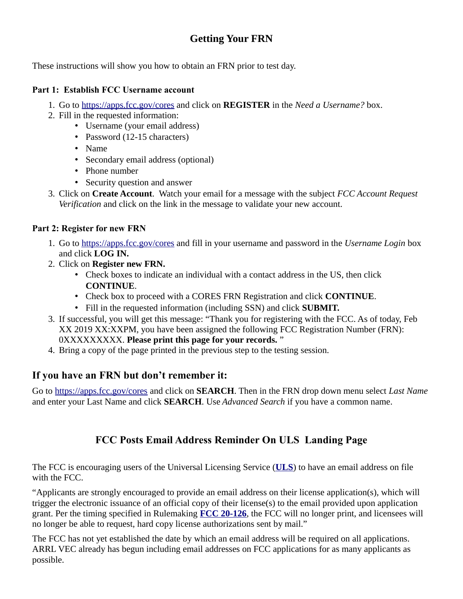## **Getting Your FRN**

These instructions will show you how to obtain an FRN prior to test day.

#### **Part 1: Establish FCC Username account**

- 1. Go to<https://apps.fcc.gov/cores>and click on **REGISTER** in the *Need a Username?* box.
- 2. Fill in the requested information:
	- Username (your email address)
	- Password (12-15 characters)
	- Name
	- Secondary email address (optional)
	- Phone number
	- Security question and answer
- 3. Click on **Create Account**. Watch your email for a message with the subject *FCC Account Request Verification* and click on the link in the message to validate your new account.

#### **Part 2: Register for new FRN**

- 1. Go to [https:// apps.fcc.gov/cores](https://apps.fcc.gov/cores) and fill in your username and password in the *Username Login* box and click **LOG IN.**
- 2. Click on **Register new FRN.**
	- Check boxes to indicate an individual with a contact address in the US, then click **CONTINUE**.
	- Check box to proceed with a CORES FRN Registration and click **CONTINUE**.
	- Fill in the requested information (including SSN) and click **SUBMIT.**
- 3. If successful, you will get this message: "Thank you for registering with the FCC. As of today, Feb XX 2019 XX:XXPM, you have been assigned the following FCC Registration Number (FRN): 0XXXXXXXXX. **Please print this page for your records.** "
- 4. Bring a copy of the page printed in the previous step to the testing session.

## **If you have an FRN but don't remember it:**

Go to<https://apps.fcc.gov/cores>and click on **SEARCH**. Then in the FRN drop down menu select *Last Name* and enter your Last Name and click **SEARCH**. Use *Advanced Search* if you have a common name.

## **FCC Posts Email Address Reminder On ULS Landing Page**

The FCC is encouraging users of the Universal Licensing Service (**[ULS](https://www.fcc.gov/wireless/systems-utilities/universal-licensing-system)**) to have an email address on file with the FCC.

"Applicants are strongly encouraged to provide an email address on their license application(s), which will trigger the electronic issuance of an official copy of their license(s) to the email provided upon application grant. Per the timing specified in Rulemaking **[FCC 20-126](https://docs.fcc.gov/public/attachments/FCC-20-126A1.pdf)**, the FCC will no longer print, and licensees will no longer be able to request, hard copy license authorizations sent by mail."

The FCC has not yet established the date by which an email address will be required on all applications. ARRL VEC already has begun including email addresses on FCC applications for as many applicants as possible.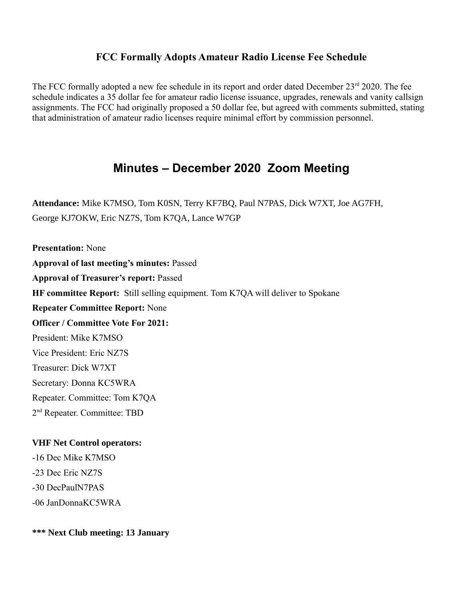## **FCC Formally Adopts Amateur Radio License Fee Schedule**

The FCC formally adopted a new fee schedule in its report and order dated December  $23<sup>rd</sup> 2020$ . The fee schedule indicates a 35 dollar fee for amateur radio license issuance, upgrades, renewals and vanity callsign assignments. The FCC had originally proposed a 50 dollar fee, but agreed with comments submitted, stating that administration of amateur radio licenses require minimal effort by commission personnel.

## **Minutes – December 2020 Zoom Meeting**

**Attendance:** Mike K7MSO, Tom K0SN, Terry KF7BQ, Paul N7PAS, Dick W7XT, Joe AG7FH, George KJ7OKW, Eric NZ7S, Tom K7QA, Lance W7GP

**Presentation:** None **Approval of last meeting's minutes:** Passed **Approval of Treasurer's report:** Passed **HF committee Report:** Still selling equipment. Tom K7QA will deliver to Spokane **Repeater Committee Report:** None **Officer / Committee Vote For 2021:** President: Mike K7MSO Vice President: Eric NZ7S Treasurer: Dick W7XT Secretary: Donna KC5WRA Repeater. Committee: Tom K7QA 2<sup>nd</sup> Repeater. Committee: TBD

#### **VHF Net Control operators:**

-16 Dec Mike K7MSO -23 Dec Eric NZ7S -30 DecPaulN7PAS -06 JanDonnaKC5WRA

**\*\*\* Next Club meeting: 13 January**